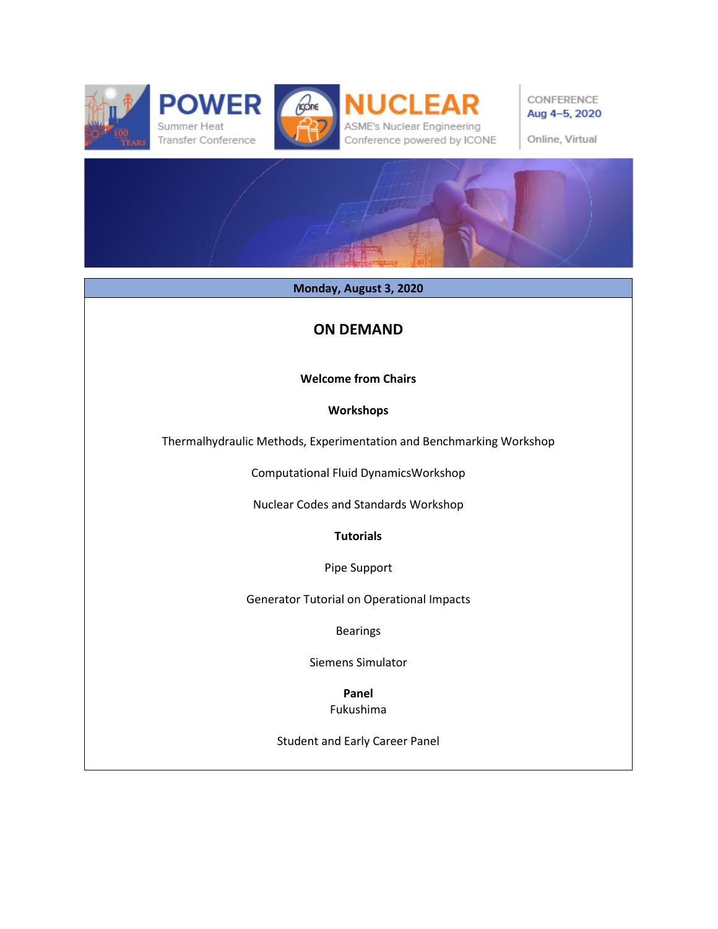







CONFERENCE Aug 4-5, 2020

Online, Virtual

**Monday, August 3, 2020**

## **ON DEMAND**

## **Welcome from Chairs**

## **Workshops**

Thermalhydraulic Methods, Experimentation and Benchmarking Workshop

Computational Fluid DynamicsWorkshop

Nuclear Codes and Standards Workshop

**Tutorials** 

Pipe Support

Generator Tutorial on Operational Impacts

Bearings

Siemens Simulator

**Panel**  Fukushima

Student and Early Career Panel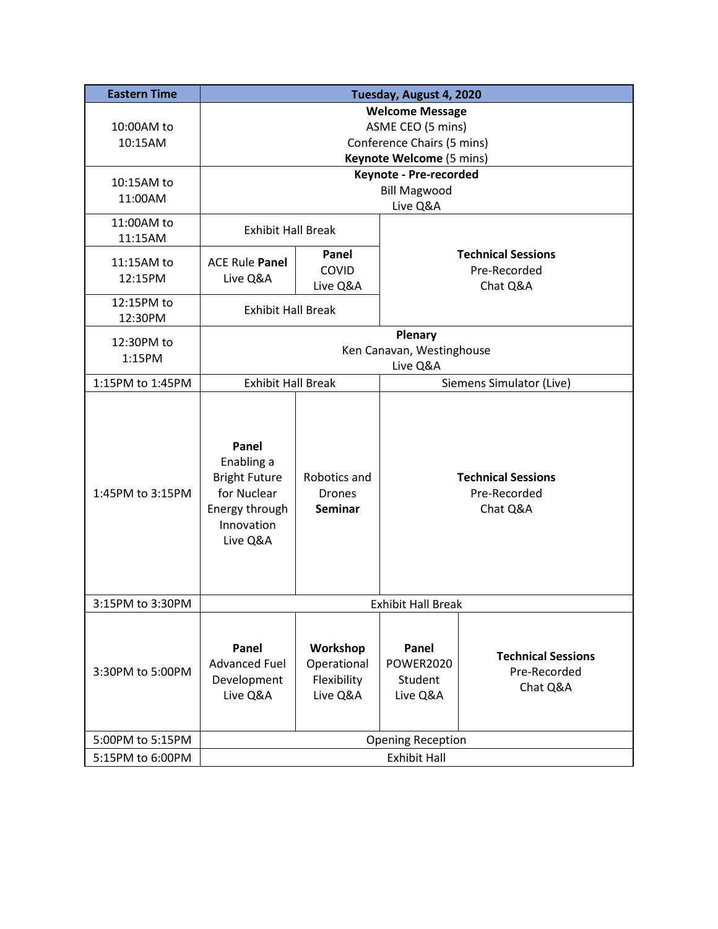| <b>Eastern Time</b>   | Tuesday, August 4, 2020                                                                                |                                                    |                                                       |                                                       |  |
|-----------------------|--------------------------------------------------------------------------------------------------------|----------------------------------------------------|-------------------------------------------------------|-------------------------------------------------------|--|
| 10:00AM to<br>10:15AM | <b>Welcome Message</b><br>ASME CEO (5 mins)<br>Conference Chairs (5 mins)<br>Keynote Welcome (5 mins)  |                                                    |                                                       |                                                       |  |
| 10:15AM to<br>11:00AM | Keynote - Pre-recorded<br><b>Bill Magwood</b><br>Live Q&A                                              |                                                    |                                                       |                                                       |  |
| 11:00AM to<br>11:15AM |                                                                                                        | <b>Exhibit Hall Break</b>                          |                                                       |                                                       |  |
| 11:15AM to<br>12:15PM | <b>ACE Rule Panel</b><br>Live Q&A                                                                      | Panel<br>COVID<br>Live Q&A                         |                                                       | <b>Technical Sessions</b><br>Pre-Recorded<br>Chat Q&A |  |
| 12:15PM to<br>12:30PM | <b>Exhibit Hall Break</b>                                                                              |                                                    |                                                       |                                                       |  |
| 12:30PM to<br>1:15PM  | Plenary<br>Ken Canavan, Westinghouse<br>Live Q&A                                                       |                                                    |                                                       |                                                       |  |
| 1:15PM to 1:45PM      | <b>Exhibit Hall Break</b>                                                                              |                                                    | Siemens Simulator (Live)                              |                                                       |  |
| 1:45PM to 3:15PM      | Panel<br>Enabling a<br><b>Bright Future</b><br>for Nuclear<br>Energy through<br>Innovation<br>Live Q&A | Robotics and<br><b>Drones</b><br><b>Seminar</b>    | <b>Technical Sessions</b><br>Pre-Recorded<br>Chat Q&A |                                                       |  |
| 3:15PM to 3:30PM      | <b>Exhibit Hall Break</b>                                                                              |                                                    |                                                       |                                                       |  |
| 3:30PM to 5:00PM      | Panel<br><b>Advanced Fuel</b><br>Development<br>Live Q&A                                               | Workshop<br>Operational<br>Flexibility<br>Live Q&A | Panel<br><b>POWER2020</b><br>Student<br>Live Q&A      | <b>Technical Sessions</b><br>Pre-Recorded<br>Chat Q&A |  |
| 5:00PM to 5:15PM      | <b>Opening Reception</b>                                                                               |                                                    |                                                       |                                                       |  |
| 5:15PM to 6:00PM      | <b>Exhibit Hall</b>                                                                                    |                                                    |                                                       |                                                       |  |